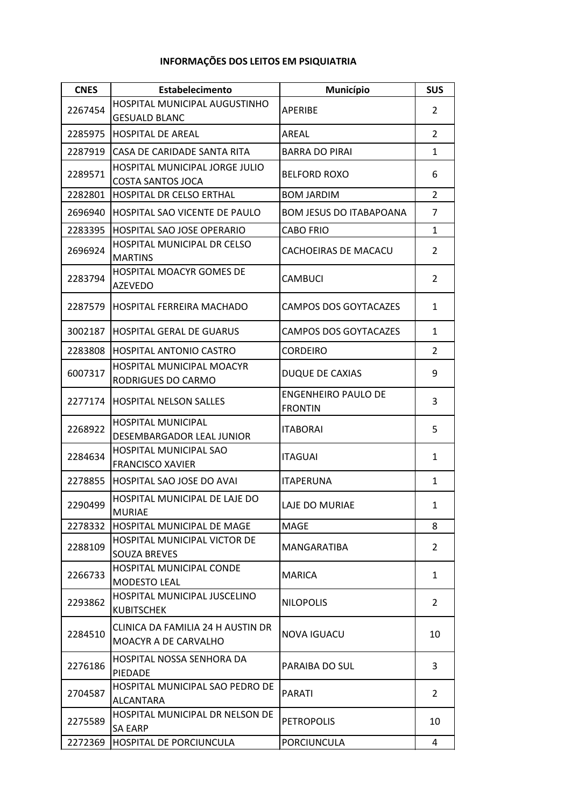## **INFORMAÇÕES DOS LEITOS EM PSIQUIATRIA**

| <b>CNES</b>        | Estabelecimento                                            | Município                                    | <b>SUS</b>     |
|--------------------|------------------------------------------------------------|----------------------------------------------|----------------|
| 2267454<br>2285975 | HOSPITAL MUNICIPAL AUGUSTINHO                              | <b>APERIBE</b>                               | $\overline{2}$ |
|                    | <b>GESUALD BLANC</b><br><b>HOSPITAL DE AREAL</b>           | AREAL                                        | $\overline{2}$ |
| 2287919            | CASA DE CARIDADE SANTA RITA                                | <b>BARRA DO PIRAI</b>                        | 1              |
|                    | HOSPITAL MUNICIPAL JORGE JULIO                             |                                              |                |
| 2289571            | <b>COSTA SANTOS JOCA</b>                                   | <b>BELFORD ROXO</b>                          | 6              |
| 2282801            | <b>HOSPITAL DR CELSO ERTHAL</b>                            | <b>BOM JARDIM</b>                            | $\overline{2}$ |
| 2696940            | HOSPITAL SAO VICENTE DE PAULO                              | <b>BOM JESUS DO ITABAPOANA</b>               | $\overline{7}$ |
| 2283395            | <b>HOSPITAL SAO JOSE OPERARIO</b>                          | <b>CABO FRIO</b>                             | 1              |
| 2696924            | HOSPITAL MUNICIPAL DR CELSO<br><b>MARTINS</b>              | CACHOEIRAS DE MACACU                         | 2              |
| 2283794            | HOSPITAL MOACYR GOMES DE                                   | <b>CAMBUCI</b>                               | $\overline{2}$ |
|                    | <b>AZEVEDO</b>                                             |                                              |                |
| 2287579            | <b>HOSPITAL FERREIRA MACHADO</b>                           | CAMPOS DOS GOYTACAZES                        | 1              |
| 3002187            | <b>HOSPITAL GERAL DE GUARUS</b>                            | CAMPOS DOS GOYTACAZES                        | 1              |
| 2283808            | <b>HOSPITAL ANTONIO CASTRO</b>                             | <b>CORDEIRO</b>                              | 2              |
| 6007317            | HOSPITAL MUNICIPAL MOACYR<br>RODRIGUES DO CARMO            | <b>DUQUE DE CAXIAS</b>                       | 9              |
| 2277174            | <b>HOSPITAL NELSON SALLES</b>                              | <b>ENGENHEIRO PAULO DE</b><br><b>FRONTIN</b> | 3              |
| 2268922            | <b>HOSPITAL MUNICIPAL</b><br>DESEMBARGADOR LEAL JUNIOR     | <b>ITABORAI</b>                              | 5              |
| 2284634            | <b>HOSPITAL MUNICIPAL SAO</b><br><b>FRANCISCO XAVIER</b>   | <b>ITAGUAI</b>                               | $\mathbf{1}$   |
| 2278855            | <b>HOSPITAL SAO JOSE DO AVAI</b>                           | <b>ITAPERUNA</b>                             | $\mathbf{1}$   |
| 2290499            | <b>HOSPITAL MUNICIPAL DE LAJE DO</b><br><b>MURIAE</b>      | LAJE DO MURIAE                               | 1              |
| 2278332            | <b>HOSPITAL MUNICIPAL DE MAGE</b>                          | MAGE                                         | 8              |
| 2288109            | <b>HOSPITAL MUNICIPAL VICTOR DE</b><br><b>SOUZA BREVES</b> | MANGARATIBA                                  | $\overline{2}$ |
| 2266733            | <b>HOSPITAL MUNICIPAL CONDE</b><br><b>MODESTO LEAL</b>     | MARICA                                       | $\mathbf{1}$   |
| 2293862            | HOSPITAL MUNICIPAL JUSCELINO<br><b>KUBITSCHEK</b>          | <b>NILOPOLIS</b>                             | 2              |
| 2284510            | CLINICA DA FAMILIA 24 H AUSTIN DR<br>MOACYR A DE CARVALHO  | NOVA IGUACU                                  | 10             |
| 2276186            | HOSPITAL NOSSA SENHORA DA<br><b>PIEDADE</b>                | PARAIBA DO SUL                               | 3              |
| 2704587            | HOSPITAL MUNICIPAL SAO PEDRO DE<br><b>ALCANTARA</b>        | PARATI                                       | 2              |
| 2275589            | <b>HOSPITAL MUNICIPAL DR NELSON DE</b><br><b>SA EARP</b>   | <b>PETROPOLIS</b>                            | 10             |
| 2272369            | <b>HOSPITAL DE PORCIUNCULA</b>                             | PORCIUNCULA                                  | 4              |